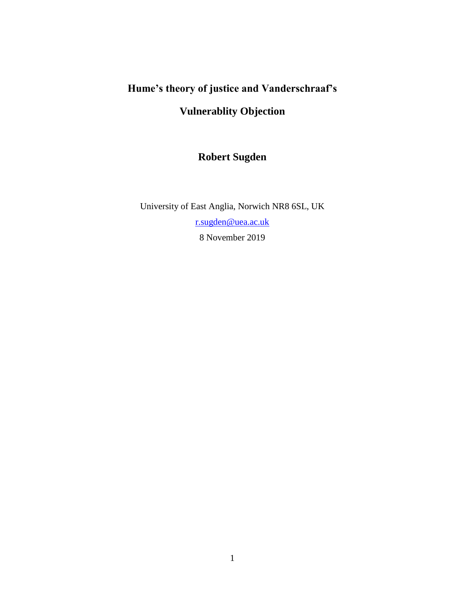# **Hume's theory of justice and Vanderschraaf's**

# **Vulnerablity Objection**

# **Robert Sugden**

University of East Anglia, Norwich NR8 6SL, UK [r.sugden@uea.ac.uk](mailto:r.sugden@uea.ac.uk) 8 November 2019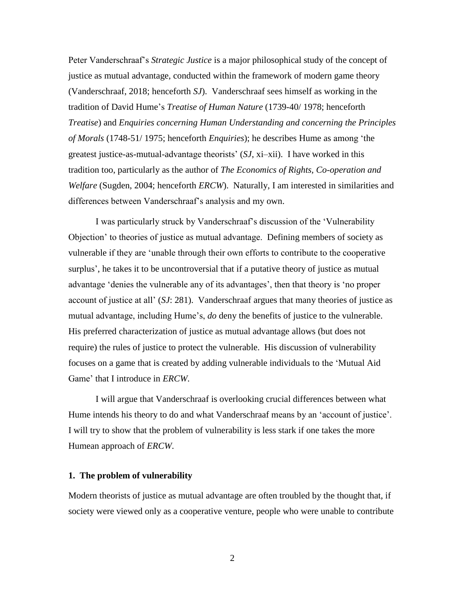Peter Vanderschraaf's *Strategic Justice* is a major philosophical study of the concept of justice as mutual advantage, conducted within the framework of modern game theory (Vanderschraaf, 2018; henceforth *SJ*). Vanderschraaf sees himself as working in the tradition of David Hume's *Treatise of Human Nature* (1739-40/ 1978; henceforth *Treatise*) and *Enquiries concerning Human Understanding and concerning the Principles of Morals* (1748-51/ 1975; henceforth *Enquiries*); he describes Hume as among 'the greatest justice-as-mutual-advantage theorists' (*SJ*, xi–xii). I have worked in this tradition too, particularly as the author of *The Economics of Rights, Co-operation and Welfare* (Sugden, 2004; henceforth *ERCW*). Naturally, I am interested in similarities and differences between Vanderschraaf's analysis and my own.

I was particularly struck by Vanderschraaf's discussion of the 'Vulnerability Objection' to theories of justice as mutual advantage. Defining members of society as vulnerable if they are 'unable through their own efforts to contribute to the cooperative surplus', he takes it to be uncontroversial that if a putative theory of justice as mutual advantage 'denies the vulnerable any of its advantages', then that theory is 'no proper account of justice at all' (*SJ*: 281). Vanderschraaf argues that many theories of justice as mutual advantage, including Hume's, *do* deny the benefits of justice to the vulnerable. His preferred characterization of justice as mutual advantage allows (but does not require) the rules of justice to protect the vulnerable. His discussion of vulnerability focuses on a game that is created by adding vulnerable individuals to the 'Mutual Aid Game' that I introduce in *ERCW*.

I will argue that Vanderschraaf is overlooking crucial differences between what Hume intends his theory to do and what Vanderschraaf means by an 'account of justice'. I will try to show that the problem of vulnerability is less stark if one takes the more Humean approach of *ERCW*.

## **1. The problem of vulnerability**

Modern theorists of justice as mutual advantage are often troubled by the thought that, if society were viewed only as a cooperative venture, people who were unable to contribute

2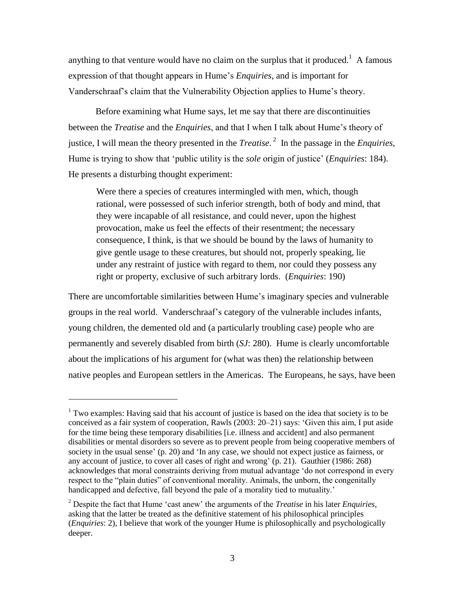anything to that venture would have no claim on the surplus that it produced.<sup>1</sup> A famous expression of that thought appears in Hume's *Enquiries*, and is important for Vanderschraaf's claim that the Vulnerability Objection applies to Hume's theory.

Before examining what Hume says, let me say that there are discontinuities between the *Treatise* and the *Enquiries*, and that I when I talk about Hume's theory of justice, I will mean the theory presented in the *Treatise*. 2 In the passage in the *Enquiries*, Hume is trying to show that 'public utility is the *sole* origin of justice' (*Enquiries*: 184). He presents a disturbing thought experiment:

Were there a species of creatures intermingled with men, which, though rational, were possessed of such inferior strength, both of body and mind, that they were incapable of all resistance, and could never, upon the highest provocation, make us feel the effects of their resentment; the necessary consequence, I think, is that we should be bound by the laws of humanity to give gentle usage to these creatures, but should not, properly speaking, lie under any restraint of justice with regard to them, nor could they possess any right or property, exclusive of such arbitrary lords. (*Enquiries*: 190)

There are uncomfortable similarities between Hume's imaginary species and vulnerable groups in the real world. Vanderschraaf's category of the vulnerable includes infants, young children, the demented old and (a particularly troubling case) people who are permanently and severely disabled from birth (*SJ*: 280). Hume is clearly uncomfortable about the implications of his argument for (what was then) the relationship between native peoples and European settlers in the Americas. The Europeans, he says, have been

 $\overline{a}$ 

 $1$  Two examples: Having said that his account of justice is based on the idea that society is to be conceived as a fair system of cooperation, Rawls (2003: 20–21) says: 'Given this aim, I put aside for the time being these temporary disabilities [i.e. illness and accident] and also permanent disabilities or mental disorders so severe as to prevent people from being cooperative members of society in the usual sense' (p. 20) and 'In any case, we should not expect justice as fairness, or any account of justice, to cover all cases of right and wrong' (p. 21). Gauthier (1986: 268) acknowledges that moral constraints deriving from mutual advantage 'do not correspond in every respect to the "plain duties" of conventional morality. Animals, the unborn, the congenitally handicapped and defective, fall beyond the pale of a morality tied to mutuality.'

<sup>2</sup> Despite the fact that Hume 'cast anew' the arguments of the *Treatise* in his later *Enquiries*, asking that the latter be treated as the definitive statement of his philosophical principles (*Enquiries*: 2), I believe that work of the younger Hume is philosophically and psychologically deeper.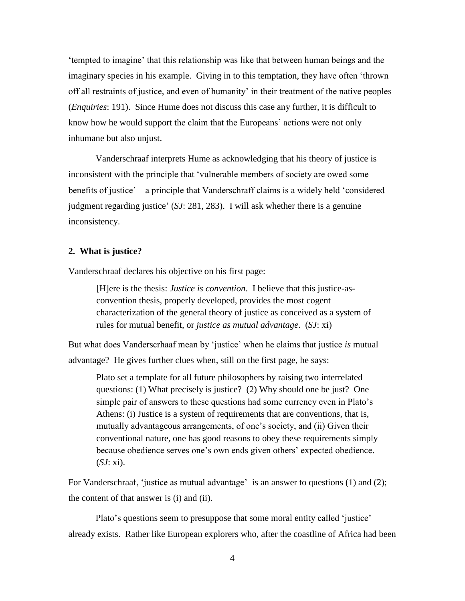'tempted to imagine' that this relationship was like that between human beings and the imaginary species in his example. Giving in to this temptation, they have often 'thrown off all restraints of justice, and even of humanity' in their treatment of the native peoples (*Enquiries*: 191). Since Hume does not discuss this case any further, it is difficult to know how he would support the claim that the Europeans' actions were not only inhumane but also unjust.

Vanderschraaf interprets Hume as acknowledging that his theory of justice is inconsistent with the principle that 'vulnerable members of society are owed some benefits of justice' – a principle that Vanderschraff claims is a widely held 'considered judgment regarding justice' (*SJ*: 281, 283). I will ask whether there is a genuine inconsistency.

# **2. What is justice?**

Vanderschraaf declares his objective on his first page:

[H]ere is the thesis: *Justice is convention*. I believe that this justice-asconvention thesis, properly developed, provides the most cogent characterization of the general theory of justice as conceived as a system of rules for mutual benefit, or *justice as mutual advantage*. (*SJ*: xi)

But what does Vanderscrhaaf mean by 'justice' when he claims that justice *is* mutual advantage? He gives further clues when, still on the first page, he says:

Plato set a template for all future philosophers by raising two interrelated questions: (1) What precisely is justice? (2) Why should one be just? One simple pair of answers to these questions had some currency even in Plato's Athens: (i) Justice is a system of requirements that are conventions, that is, mutually advantageous arrangements, of one's society, and (ii) Given their conventional nature, one has good reasons to obey these requirements simply because obedience serves one's own ends given others' expected obedience. (*SJ*: xi).

For Vanderschraaf, 'justice as mutual advantage' is an answer to questions (1) and (2); the content of that answer is (i) and (ii).

Plato's questions seem to presuppose that some moral entity called 'justice' already exists. Rather like European explorers who, after the coastline of Africa had been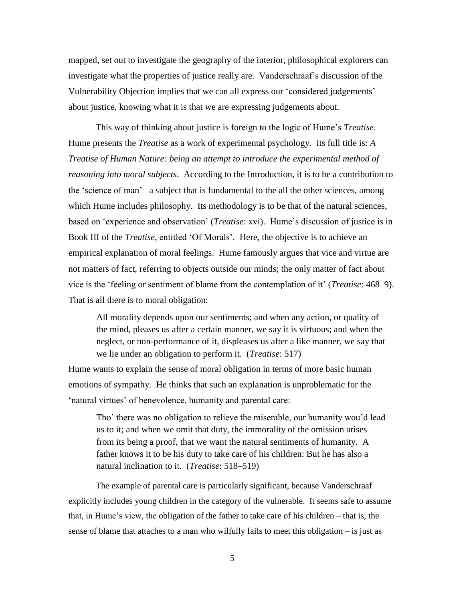mapped, set out to investigate the geography of the interior, philosophical explorers can investigate what the properties of justice really are. Vanderschraaf's discussion of the Vulnerability Objection implies that we can all express our 'considered judgements' about justice, knowing what it is that we are expressing judgements about.

This way of thinking about justice is foreign to the logic of Hume's *Treatise*. Hume presents the *Treatise* as a work of experimental psychology. Its full title is: *A Treatise of Human Nature: being an attempt to introduce the experimental method of reasoning into moral subjects*. According to the Introduction, it is to be a contribution to the 'science of man'– a subject that is fundamental to the all the other sciences, among which Hume includes philosophy. Its methodology is to be that of the natural sciences, based on 'experience and observation' (*Treatise*: xvi). Hume's discussion of justice is in Book III of the *Treatise*, entitled 'Of Morals'. Here, the objective is to achieve an empirical explanation of moral feelings. Hume famously argues that vice and virtue are not matters of fact, referring to objects outside our minds; the only matter of fact about vice is the 'feeling or sentiment of blame from the contemplation of it' (*Treatise*: 468–9). That is all there is to moral obligation:

All morality depends upon our sentiments; and when any action, or quality of the mind, pleases us after a certain manner, we say it is virtuous; and when the neglect, or non-performance of it, displeases us after a like manner, we say that we lie under an obligation to perform it. (*Treatise*: 517)

Hume wants to explain the sense of moral obligation in terms of more basic human emotions of sympathy. He thinks that such an explanation is unproblematic for the 'natural virtues' of benevolence, humanity and parental care:

Tho' there was no obligation to relieve the miserable, our humanity wou'd lead us to it; and when we omit that duty, the immorality of the omission arises from its being a proof, that we want the natural sentiments of humanity. A father knows it to be his duty to take care of his children: But he has also a natural inclination to it. (*Treatise*: 518–519)

The example of parental care is particularly significant, because Vanderschraaf explicitly includes young children in the category of the vulnerable. It seems safe to assume that, in Hume's view, the obligation of the father to take care of his children – that is, the sense of blame that attaches to a man who wilfully fails to meet this obligation  $-$  is just as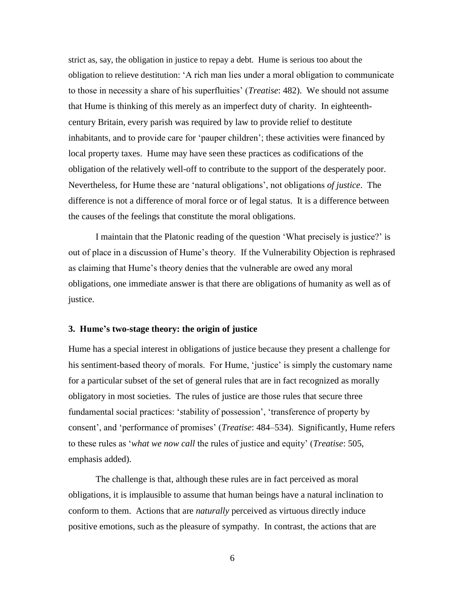strict as, say, the obligation in justice to repay a debt. Hume is serious too about the obligation to relieve destitution: 'A rich man lies under a moral obligation to communicate to those in necessity a share of his superfluities' (*Treatise*: 482). We should not assume that Hume is thinking of this merely as an imperfect duty of charity. In eighteenthcentury Britain, every parish was required by law to provide relief to destitute inhabitants, and to provide care for 'pauper children'; these activities were financed by local property taxes. Hume may have seen these practices as codifications of the obligation of the relatively well-off to contribute to the support of the desperately poor. Nevertheless, for Hume these are 'natural obligations', not obligations *of justice*. The difference is not a difference of moral force or of legal status. It is a difference between the causes of the feelings that constitute the moral obligations.

I maintain that the Platonic reading of the question 'What precisely is justice?' is out of place in a discussion of Hume's theory. If the Vulnerability Objection is rephrased as claiming that Hume's theory denies that the vulnerable are owed any moral obligations, one immediate answer is that there are obligations of humanity as well as of justice.

#### **3. Hume's two-stage theory: the origin of justice**

Hume has a special interest in obligations of justice because they present a challenge for his sentiment-based theory of morals. For Hume, 'justice' is simply the customary name for a particular subset of the set of general rules that are in fact recognized as morally obligatory in most societies. The rules of justice are those rules that secure three fundamental social practices: 'stability of possession', 'transference of property by consent', and 'performance of promises' (*Treatise*: 484–534). Significantly, Hume refers to these rules as '*what we now call* the rules of justice and equity' (*Treatise*: 505, emphasis added).

The challenge is that, although these rules are in fact perceived as moral obligations, it is implausible to assume that human beings have a natural inclination to conform to them. Actions that are *naturally* perceived as virtuous directly induce positive emotions, such as the pleasure of sympathy. In contrast, the actions that are

6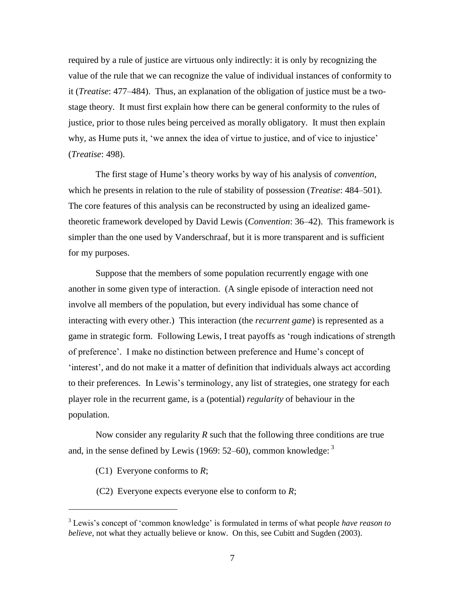required by a rule of justice are virtuous only indirectly: it is only by recognizing the value of the rule that we can recognize the value of individual instances of conformity to it (*Treatise*: 477–484). Thus, an explanation of the obligation of justice must be a twostage theory. It must first explain how there can be general conformity to the rules of justice, prior to those rules being perceived as morally obligatory. It must then explain why, as Hume puts it, 'we annex the idea of virtue to justice, and of vice to injustice' (*Treatise*: 498).

The first stage of Hume's theory works by way of his analysis of *convention*, which he presents in relation to the rule of stability of possession (*Treatise*: 484–501). The core features of this analysis can be reconstructed by using an idealized gametheoretic framework developed by David Lewis (*Convention*: 36–42). This framework is simpler than the one used by Vanderschraaf, but it is more transparent and is sufficient for my purposes.

Suppose that the members of some population recurrently engage with one another in some given type of interaction. (A single episode of interaction need not involve all members of the population, but every individual has some chance of interacting with every other.) This interaction (the *recurrent game*) is represented as a game in strategic form. Following Lewis, I treat payoffs as 'rough indications of strength of preference'. I make no distinction between preference and Hume's concept of 'interest', and do not make it a matter of definition that individuals always act according to their preferences. In Lewis's terminology, any list of strategies, one strategy for each player role in the recurrent game, is a (potential) *regularity* of behaviour in the population.

Now consider any regularity *R* such that the following three conditions are true and, in the sense defined by Lewis (1969:  $52-60$ ), common knowledge:  $3$ 

(C1) Everyone conforms to *R*;

 $\overline{a}$ 

(C2) Everyone expects everyone else to conform to *R*;

<sup>3</sup> Lewis's concept of 'common knowledge' is formulated in terms of what people *have reason to believe*, not what they actually believe or know. On this, see Cubitt and Sugden (2003).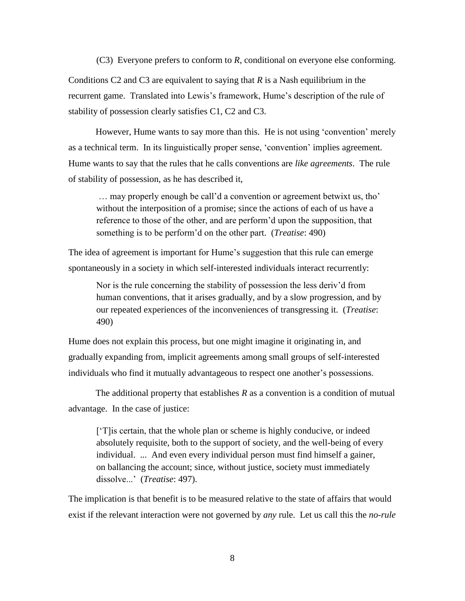(C3) Everyone prefers to conform to *R*, conditional on everyone else conforming.

Conditions C<sub>2</sub> and C<sub>3</sub> are equivalent to saying that *R* is a Nash equilibrium in the recurrent game. Translated into Lewis's framework, Hume's description of the rule of stability of possession clearly satisfies C1, C2 and C3.

However, Hume wants to say more than this. He is not using 'convention' merely as a technical term. In its linguistically proper sense, 'convention' implies agreement. Hume wants to say that the rules that he calls conventions are *like agreements*. The rule of stability of possession, as he has described it,

… may properly enough be call'd a convention or agreement betwixt us, tho' without the interposition of a promise; since the actions of each of us have a reference to those of the other, and are perform'd upon the supposition, that something is to be perform'd on the other part. (*Treatise*: 490)

The idea of agreement is important for Hume's suggestion that this rule can emerge spontaneously in a society in which self-interested individuals interact recurrently:

Nor is the rule concerning the stability of possession the less deriv'd from human conventions, that it arises gradually, and by a slow progression, and by our repeated experiences of the inconveniences of transgressing it. (*Treatise*: 490)

Hume does not explain this process, but one might imagine it originating in, and gradually expanding from, implicit agreements among small groups of self-interested individuals who find it mutually advantageous to respect one another's possessions.

The additional property that establishes *R* as a convention is a condition of mutual advantage. In the case of justice:

['T]is certain, that the whole plan or scheme is highly conducive, or indeed absolutely requisite, both to the support of society, and the well-being of every individual. ... And even every individual person must find himself a gainer, on ballancing the account; since, without justice, society must immediately dissolve...' (*Treatise*: 497).

The implication is that benefit is to be measured relative to the state of affairs that would exist if the relevant interaction were not governed by *any* rule. Let us call this the *no-rule*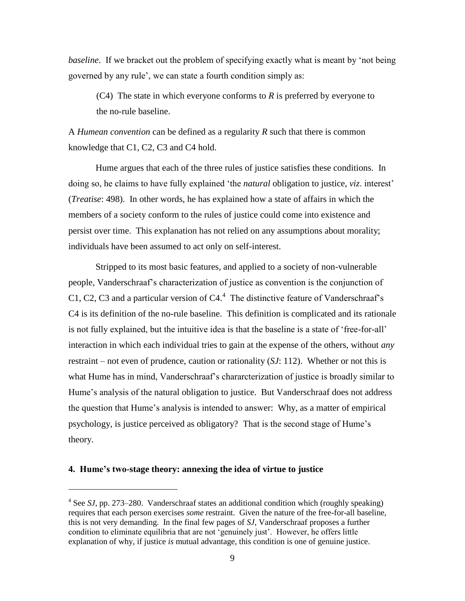*baseline*. If we bracket out the problem of specifying exactly what is meant by 'not being governed by any rule', we can state a fourth condition simply as:

(C4) The state in which everyone conforms to *R* is preferred by everyone to the no-rule baseline.

A *Humean convention* can be defined as a regularity *R* such that there is common knowledge that C1, C2, C3 and C4 hold.

Hume argues that each of the three rules of justice satisfies these conditions. In doing so, he claims to have fully explained 'the *natural* obligation to justice, *viz*. interest' (*Treatise*: 498). In other words, he has explained how a state of affairs in which the members of a society conform to the rules of justice could come into existence and persist over time. This explanation has not relied on any assumptions about morality; individuals have been assumed to act only on self-interest.

Stripped to its most basic features, and applied to a society of non-vulnerable people, Vanderschraaf's characterization of justice as convention is the conjunction of C1, C2, C3 and a particular version of C4. $4$  The distinctive feature of Vanderschraaf's C4 is its definition of the no-rule baseline. This definition is complicated and its rationale is not fully explained, but the intuitive idea is that the baseline is a state of 'free-for-all' interaction in which each individual tries to gain at the expense of the others, without *any* restraint – not even of prudence, caution or rationality (*SJ*: 112). Whether or not this is what Hume has in mind, Vanderschraaf's chararcterization of justice is broadly similar to Hume's analysis of the natural obligation to justice. But Vanderschraaf does not address the question that Hume's analysis is intended to answer: Why, as a matter of empirical psychology, is justice perceived as obligatory? That is the second stage of Hume's theory.

# **4. Hume's two-stage theory: annexing the idea of virtue to justice**

 $\overline{a}$ 

<sup>&</sup>lt;sup>4</sup> See *SJ*, pp. 273–280. Vanderschraaf states an additional condition which (roughly speaking) requires that each person exercises *some* restraint. Given the nature of the free-for-all baseline, this is not very demanding. In the final few pages of *SJ*, Vanderschraaf proposes a further condition to eliminate equilibria that are not 'genuinely just'. However, he offers little explanation of why, if justice *is* mutual advantage, this condition is one of genuine justice.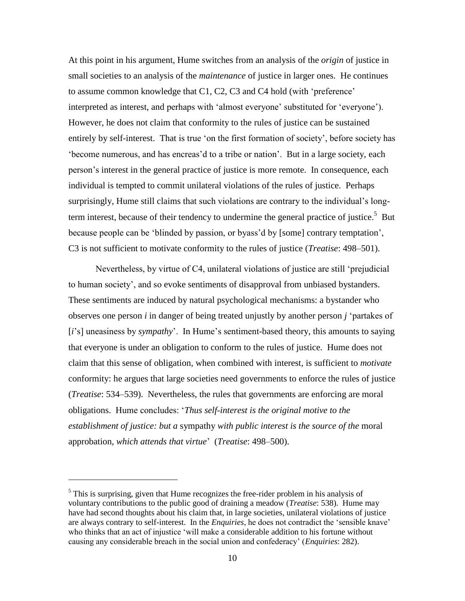At this point in his argument, Hume switches from an analysis of the *origin* of justice in small societies to an analysis of the *maintenance* of justice in larger ones. He continues to assume common knowledge that C1, C2, C3 and C4 hold (with 'preference' interpreted as interest, and perhaps with 'almost everyone' substituted for 'everyone'). However, he does not claim that conformity to the rules of justice can be sustained entirely by self-interest. That is true 'on the first formation of society', before society has 'become numerous, and has encreas'd to a tribe or nation'. But in a large society, each person's interest in the general practice of justice is more remote. In consequence, each individual is tempted to commit unilateral violations of the rules of justice. Perhaps surprisingly, Hume still claims that such violations are contrary to the individual's longterm interest, because of their tendency to undermine the general practice of justice.<sup>5</sup> But because people can be 'blinded by passion, or byass'd by [some] contrary temptation', C3 is not sufficient to motivate conformity to the rules of justice (*Treatise*: 498–501).

Nevertheless, by virtue of C4, unilateral violations of justice are still 'prejudicial to human society', and so evoke sentiments of disapproval from unbiased bystanders. These sentiments are induced by natural psychological mechanisms: a bystander who observes one person *i* in danger of being treated unjustly by another person *j* 'partakes of [*i*'s] uneasiness by *sympathy*'. In Hume's sentiment-based theory, this amounts to saying that everyone is under an obligation to conform to the rules of justice. Hume does not claim that this sense of obligation, when combined with interest, is sufficient to *motivate* conformity: he argues that large societies need governments to enforce the rules of justice (*Treatise*: 534–539). Nevertheless, the rules that governments are enforcing are moral obligations. Hume concludes: '*Thus self-interest is the original motive to the establishment of justice: but a* sympathy *with public interest is the source of the* moral approbation*, which attends that virtue*' (*Treatise*: 498–500).

 $\overline{a}$ 

 $<sup>5</sup>$  This is surprising, given that Hume recognizes the free-rider problem in his analysis of</sup> voluntary contributions to the public good of draining a meadow (*Treatise*: 538). Hume may have had second thoughts about his claim that, in large societies, unilateral violations of justice are always contrary to self-interest. In the *Enquiries*, he does not contradict the 'sensible knave' who thinks that an act of injustice 'will make a considerable addition to his fortune without causing any considerable breach in the social union and confederacy' (*Enquiries*: 282).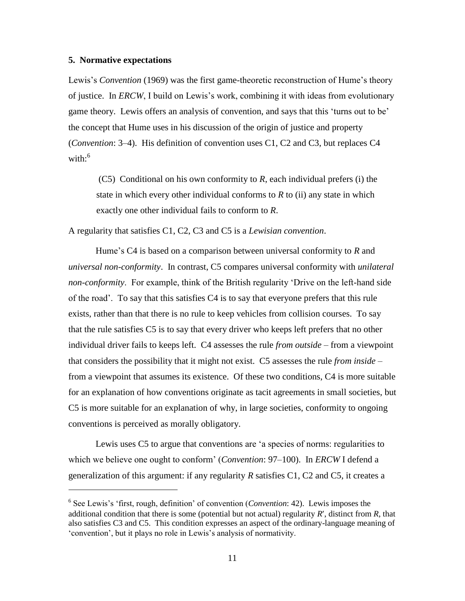### **5. Normative expectations**

 $\overline{a}$ 

Lewis's *Convention* (1969) was the first game-theoretic reconstruction of Hume's theory of justice. In *ERCW*, I build on Lewis's work, combining it with ideas from evolutionary game theory. Lewis offers an analysis of convention, and says that this 'turns out to be' the concept that Hume uses in his discussion of the origin of justice and property (*Convention*: 3–4). His definition of convention uses C1, C2 and C3, but replaces C4 with: $6\overline{6}$ 

(C5) Conditional on his own conformity to *R*, each individual prefers (i) the state in which every other individual conforms to *R* to (ii) any state in which exactly one other individual fails to conform to *R*.

A regularity that satisfies C1, C2, C3 and C5 is a *Lewisian convention*.

Hume's C4 is based on a comparison between universal conformity to *R* and *universal non-conformity*. In contrast, C5 compares universal conformity with *unilateral non-conformity*. For example, think of the British regularity 'Drive on the left-hand side of the road'. To say that this satisfies C4 is to say that everyone prefers that this rule exists, rather than that there is no rule to keep vehicles from collision courses. To say that the rule satisfies C5 is to say that every driver who keeps left prefers that no other individual driver fails to keeps left. C4 assesses the rule *from outside* – from a viewpoint that considers the possibility that it might not exist. C5 assesses the rule *from inside* – from a viewpoint that assumes its existence. Of these two conditions, C4 is more suitable for an explanation of how conventions originate as tacit agreements in small societies, but C5 is more suitable for an explanation of why, in large societies, conformity to ongoing conventions is perceived as morally obligatory.

Lewis uses C5 to argue that conventions are 'a species of norms: regularities to which we believe one ought to conform' (*Convention*: 97–100). In *ERCW* I defend a generalization of this argument: if any regularity *R* satisfies C1, C2 and C5, it creates a

<sup>6</sup> See Lewis's 'first, rough, definition' of convention (*Convention*: 42). Lewis imposes the additional condition that there is some (potential but not actual) regularity  $R'$ , distinct from  $R$ , that also satisfies C3 and C5. This condition expresses an aspect of the ordinary-language meaning of 'convention', but it plays no role in Lewis's analysis of normativity.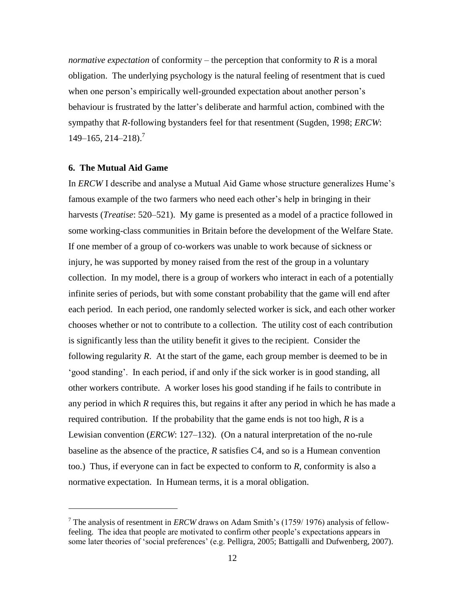*normative expectation* of conformity – the perception that conformity to *R* is a moral obligation. The underlying psychology is the natural feeling of resentment that is cued when one person's empirically well-grounded expectation about another person's behaviour is frustrated by the latter's deliberate and harmful action, combined with the sympathy that *R*-following bystanders feel for that resentment (Sugden, 1998; *ERCW*:  $149-165, 214-218$ <sup>7</sup>

### **6. The Mutual Aid Game**

 $\overline{a}$ 

In *ERCW* I describe and analyse a Mutual Aid Game whose structure generalizes Hume's famous example of the two farmers who need each other's help in bringing in their harvests (*Treatise*: 520–521). My game is presented as a model of a practice followed in some working-class communities in Britain before the development of the Welfare State. If one member of a group of co-workers was unable to work because of sickness or injury, he was supported by money raised from the rest of the group in a voluntary collection. In my model, there is a group of workers who interact in each of a potentially infinite series of periods, but with some constant probability that the game will end after each period. In each period, one randomly selected worker is sick, and each other worker chooses whether or not to contribute to a collection. The utility cost of each contribution is significantly less than the utility benefit it gives to the recipient. Consider the following regularity *R*. At the start of the game, each group member is deemed to be in 'good standing'. In each period, if and only if the sick worker is in good standing, all other workers contribute. A worker loses his good standing if he fails to contribute in any period in which *R* requires this, but regains it after any period in which he has made a required contribution. If the probability that the game ends is not too high, *R* is a Lewisian convention (*ERCW*: 127–132). (On a natural interpretation of the no-rule baseline as the absence of the practice, *R* satisfies C4, and so is a Humean convention too.) Thus, if everyone can in fact be expected to conform to *R*, conformity is also a normative expectation. In Humean terms, it is a moral obligation.

<sup>7</sup> The analysis of resentment in *ERCW* draws on Adam Smith's (1759/ 1976) analysis of fellowfeeling. The idea that people are motivated to confirm other people's expectations appears in some later theories of 'social preferences' (e.g. Pelligra, 2005; Battigalli and Dufwenberg, 2007).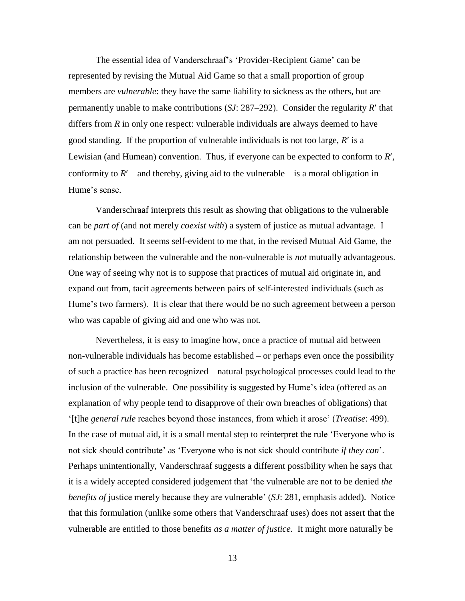The essential idea of Vanderschraaf's 'Provider-Recipient Game' can be represented by revising the Mutual Aid Game so that a small proportion of group members are *vulnerable*: they have the same liability to sickness as the others, but are permanently unable to make contributions (*SJ*: 287–292). Consider the regularity *R* that differs from *R* in only one respect: vulnerable individuals are always deemed to have good standing. If the proportion of vulnerable individuals is not too large, *R* is a Lewisian (and Humean) convention. Thus, if everyone can be expected to conform to *R'*, conformity to  $R'$  – and thereby, giving aid to the vulnerable – is a moral obligation in Hume's sense.

Vanderschraaf interprets this result as showing that obligations to the vulnerable can be *part of* (and not merely *coexist with*) a system of justice as mutual advantage. I am not persuaded. It seems self-evident to me that, in the revised Mutual Aid Game, the relationship between the vulnerable and the non-vulnerable is *not* mutually advantageous. One way of seeing why not is to suppose that practices of mutual aid originate in, and expand out from, tacit agreements between pairs of self-interested individuals (such as Hume's two farmers). It is clear that there would be no such agreement between a person who was capable of giving aid and one who was not.

Nevertheless, it is easy to imagine how, once a practice of mutual aid between non-vulnerable individuals has become established – or perhaps even once the possibility of such a practice has been recognized – natural psychological processes could lead to the inclusion of the vulnerable. One possibility is suggested by Hume's idea (offered as an explanation of why people tend to disapprove of their own breaches of obligations) that '[t]he *general rule* reaches beyond those instances, from which it arose' (*Treatise*: 499). In the case of mutual aid, it is a small mental step to reinterpret the rule 'Everyone who is not sick should contribute' as 'Everyone who is not sick should contribute *if they can*'. Perhaps unintentionally, Vanderschraaf suggests a different possibility when he says that it is a widely accepted considered judgement that 'the vulnerable are not to be denied *the benefits of* justice merely because they are vulnerable' (*SJ*: 281, emphasis added). Notice that this formulation (unlike some others that Vanderschraaf uses) does not assert that the vulnerable are entitled to those benefits *as a matter of justice.* It might more naturally be

13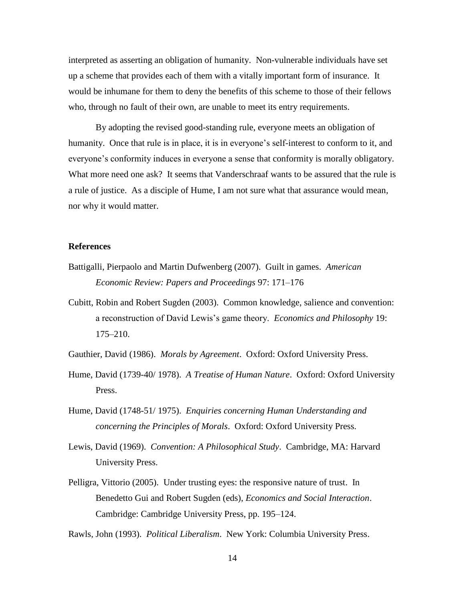interpreted as asserting an obligation of humanity. Non-vulnerable individuals have set up a scheme that provides each of them with a vitally important form of insurance. It would be inhumane for them to deny the benefits of this scheme to those of their fellows who, through no fault of their own, are unable to meet its entry requirements.

By adopting the revised good-standing rule, everyone meets an obligation of humanity. Once that rule is in place, it is in everyone's self-interest to conform to it, and everyone's conformity induces in everyone a sense that conformity is morally obligatory. What more need one ask? It seems that Vanderschraaf wants to be assured that the rule is a rule of justice. As a disciple of Hume, I am not sure what that assurance would mean, nor why it would matter.

### **References**

- Battigalli, Pierpaolo and Martin Dufwenberg (2007). Guilt in games. *American Economic Review: Papers and Proceedings* 97: 171–176
- Cubitt, Robin and Robert Sugden (2003). Common knowledge, salience and convention: a reconstruction of David Lewis's game theory. *Economics and Philosophy* 19: 175–210.

Gauthier, David (1986). *Morals by Agreement*. Oxford: Oxford University Press.

- Hume, David (1739-40/ 1978). *A Treatise of Human Nature*. Oxford: Oxford University Press.
- Hume, David (1748-51/ 1975). *Enquiries concerning Human Understanding and concerning the Principles of Morals*. Oxford: Oxford University Press.
- Lewis, David (1969). *Convention: A Philosophical Study*. Cambridge, MA: Harvard University Press.
- Pelligra, Vittorio (2005). Under trusting eyes: the responsive nature of trust. In Benedetto Gui and Robert Sugden (eds), *Economics and Social Interaction*. Cambridge: Cambridge University Press, pp. 195–124.

Rawls, John (1993). *Political Liberalism*. New York: Columbia University Press.